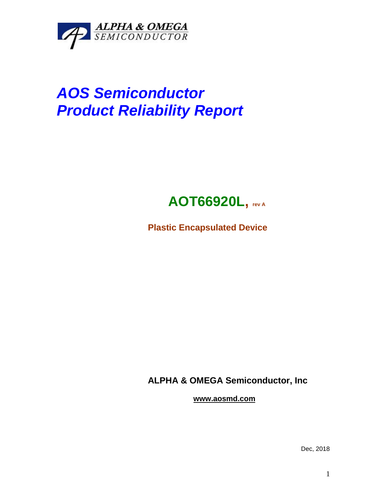

## *AOS Semiconductor Product Reliability Report*



**Plastic Encapsulated Device**

**ALPHA & OMEGA Semiconductor, Inc**

**www.aosmd.com**

Dec, 2018